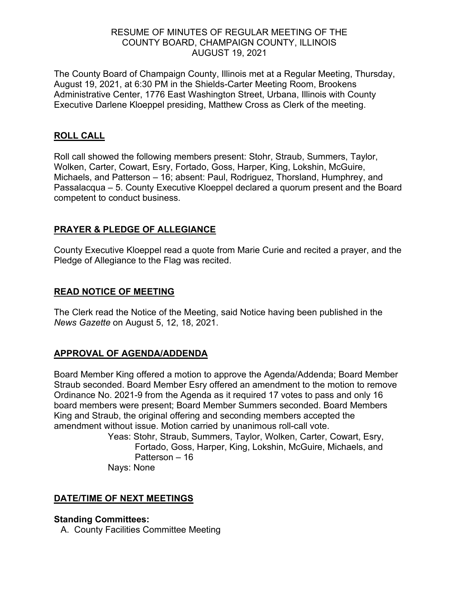### RESUME OF MINUTES OF REGULAR MEETING OF THE COUNTY BOARD, CHAMPAIGN COUNTY, ILLINOIS AUGUST 19, 2021

The County Board of Champaign County, Illinois met at a Regular Meeting, Thursday, August 19, 2021, at 6:30 PM in the Shields-Carter Meeting Room, Brookens Administrative Center, 1776 East Washington Street, Urbana, Illinois with County Executive Darlene Kloeppel presiding, Matthew Cross as Clerk of the meeting.

# **ROLL CALL**

Roll call showed the following members present: Stohr, Straub, Summers, Taylor, Wolken, Carter, Cowart, Esry, Fortado, Goss, Harper, King, Lokshin, McGuire, Michaels, and Patterson – 16; absent: Paul, Rodriguez, Thorsland, Humphrey, and Passalacqua – 5. County Executive Kloeppel declared a quorum present and the Board competent to conduct business.

# **PRAYER & PLEDGE OF ALLEGIANCE**

County Executive Kloeppel read a quote from Marie Curie and recited a prayer, and the Pledge of Allegiance to the Flag was recited.

#### **READ NOTICE OF MEETING**

The Clerk read the Notice of the Meeting, said Notice having been published in the *News Gazette* on August 5, 12, 18, 2021.

#### **APPROVAL OF AGENDA/ADDENDA**

Board Member King offered a motion to approve the Agenda/Addenda; Board Member Straub seconded. Board Member Esry offered an amendment to the motion to remove Ordinance No. 2021-9 from the Agenda as it required 17 votes to pass and only 16 board members were present; Board Member Summers seconded. Board Members King and Straub, the original offering and seconding members accepted the amendment without issue. Motion carried by unanimous roll-call vote.

> Yeas: Stohr, Straub, Summers, Taylor, Wolken, Carter, Cowart, Esry, Fortado, Goss, Harper, King, Lokshin, McGuire, Michaels, and Patterson – 16

Nays: None

#### **DATE/TIME OF NEXT MEETINGS**

#### **Standing Committees:**

A. County Facilities Committee Meeting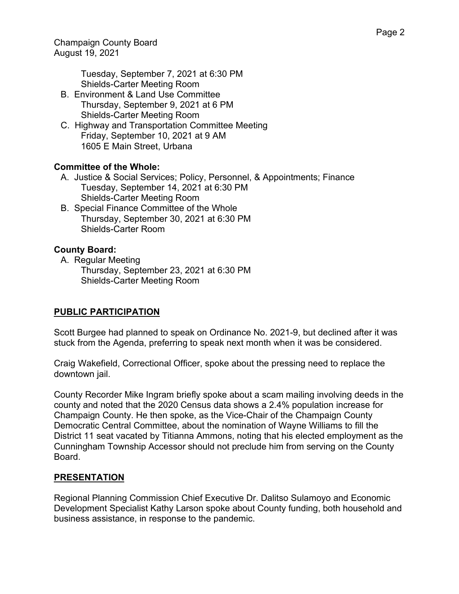Champaign County Board August 19, 2021

> Tuesday, September 7, 2021 at 6:30 PM Shields-Carter Meeting Room

- B. Environment & Land Use Committee Thursday, September 9, 2021 at 6 PM Shields-Carter Meeting Room
- C. Highway and Transportation Committee Meeting Friday, September 10, 2021 at 9 AM 1605 E Main Street, Urbana

# **Committee of the Whole:**

- A. Justice & Social Services; Policy, Personnel, & Appointments; Finance Tuesday, September 14, 2021 at 6:30 PM Shields-Carter Meeting Room
- B. Special Finance Committee of the Whole Thursday, September 30, 2021 at 6:30 PM Shields-Carter Room

# **County Board:**

A. Regular Meeting Thursday, September 23, 2021 at 6:30 PM Shields-Carter Meeting Room

#### **PUBLIC PARTICIPATION**

Scott Burgee had planned to speak on Ordinance No. 2021-9, but declined after it was stuck from the Agenda, preferring to speak next month when it was be considered.

Craig Wakefield, Correctional Officer, spoke about the pressing need to replace the downtown jail.

County Recorder Mike Ingram briefly spoke about a scam mailing involving deeds in the county and noted that the 2020 Census data shows a 2.4% population increase for Champaign County. He then spoke, as the Vice-Chair of the Champaign County Democratic Central Committee, about the nomination of Wayne Williams to fill the District 11 seat vacated by Titianna Ammons, noting that his elected employment as the Cunningham Township Accessor should not preclude him from serving on the County Board.

#### **PRESENTATION**

Regional Planning Commission Chief Executive Dr. Dalitso Sulamoyo and Economic Development Specialist Kathy Larson spoke about County funding, both household and business assistance, in response to the pandemic.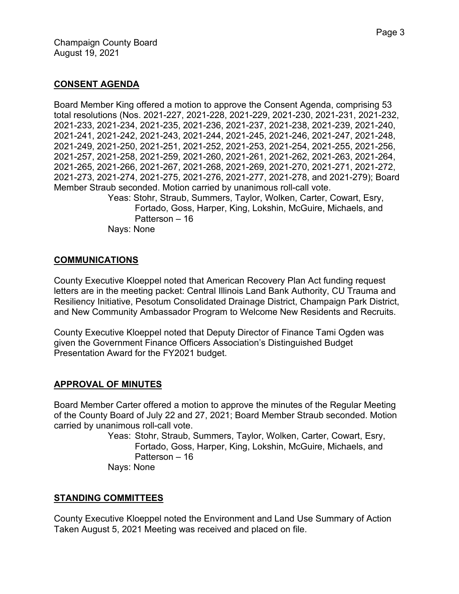#### **CONSENT AGENDA**

Board Member King offered a motion to approve the Consent Agenda, comprising 53 total resolutions (Nos. 2021-227, 2021-228, 2021-229, 2021-230, 2021-231, 2021-232, 2021-233, 2021-234, 2021-235, 2021-236, 2021-237, 2021-238, 2021-239, 2021-240, 2021-241, 2021-242, 2021-243, 2021-244, 2021-245, 2021-246, 2021-247, 2021-248, 2021-249, 2021-250, 2021-251, 2021-252, 2021-253, 2021-254, 2021-255, 2021-256, 2021-257, 2021-258, 2021-259, 2021-260, 2021-261, 2021-262, 2021-263, 2021-264, 2021-265, 2021-266, 2021-267, 2021-268, 2021-269, 2021-270, 2021-271, 2021-272, 2021-273, 2021-274, 2021-275, 2021-276, 2021-277, 2021-278, and 2021-279); Board Member Straub seconded. Motion carried by unanimous roll-call vote.

Yeas: Stohr, Straub, Summers, Taylor, Wolken, Carter, Cowart, Esry, Fortado, Goss, Harper, King, Lokshin, McGuire, Michaels, and Patterson – 16

Nays: None

#### **COMMUNICATIONS**

County Executive Kloeppel noted that American Recovery Plan Act funding request letters are in the meeting packet: Central Illinois Land Bank Authority, CU Trauma and Resiliency Initiative, Pesotum Consolidated Drainage District, Champaign Park District, and New Community Ambassador Program to Welcome New Residents and Recruits.

County Executive Kloeppel noted that Deputy Director of Finance Tami Ogden was given the Government Finance Officers Association's Distinguished Budget Presentation Award for the FY2021 budget.

#### **APPROVAL OF MINUTES**

Board Member Carter offered a motion to approve the minutes of the Regular Meeting of the County Board of July 22 and 27, 2021; Board Member Straub seconded. Motion carried by unanimous roll-call vote.

> Yeas: Stohr, Straub, Summers, Taylor, Wolken, Carter, Cowart, Esry, Fortado, Goss, Harper, King, Lokshin, McGuire, Michaels, and Patterson – 16

Nays: None

#### **STANDING COMMITTEES**

County Executive Kloeppel noted the Environment and Land Use Summary of Action Taken August 5, 2021 Meeting was received and placed on file.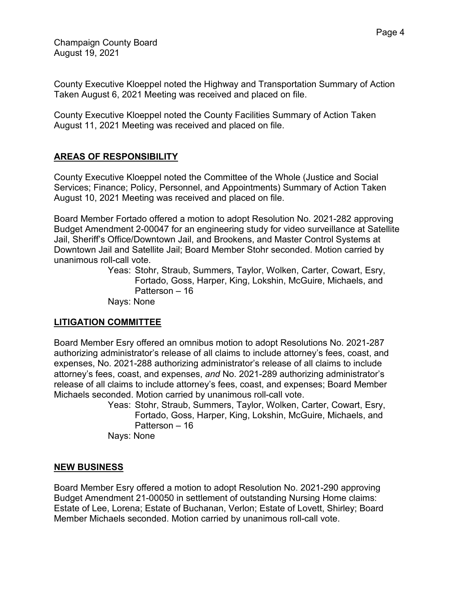County Executive Kloeppel noted the Highway and Transportation Summary of Action Taken August 6, 2021 Meeting was received and placed on file.

County Executive Kloeppel noted the County Facilities Summary of Action Taken August 11, 2021 Meeting was received and placed on file.

# **AREAS OF RESPONSIBILITY**

County Executive Kloeppel noted the Committee of the Whole (Justice and Social Services; Finance; Policy, Personnel, and Appointments) Summary of Action Taken August 10, 2021 Meeting was received and placed on file.

Board Member Fortado offered a motion to adopt Resolution No. 2021-282 approving Budget Amendment 2-00047 for an engineering study for video surveillance at Satellite Jail, Sheriff's Office/Downtown Jail, and Brookens, and Master Control Systems at Downtown Jail and Satellite Jail; Board Member Stohr seconded. Motion carried by unanimous roll-call vote.

Yeas: Stohr, Straub, Summers, Taylor, Wolken, Carter, Cowart, Esry, Fortado, Goss, Harper, King, Lokshin, McGuire, Michaels, and Patterson – 16 Nays: None

# **LITIGATION COMMITTEE**

Board Member Esry offered an omnibus motion to adopt Resolutions No. 2021-287 authorizing administrator's release of all claims to include attorney's fees, coast, and expenses, No. 2021-288 authorizing administrator's release of all claims to include attorney's fees, coast, and expenses, *and* No. 2021-289 authorizing administrator's release of all claims to include attorney's fees, coast, and expenses; Board Member Michaels seconded. Motion carried by unanimous roll-call vote.

Yeas: Stohr, Straub, Summers, Taylor, Wolken, Carter, Cowart, Esry, Fortado, Goss, Harper, King, Lokshin, McGuire, Michaels, and Patterson – 16

Nays: None

# **NEW BUSINESS**

Board Member Esry offered a motion to adopt Resolution No. 2021-290 approving Budget Amendment 21-00050 in settlement of outstanding Nursing Home claims: Estate of Lee, Lorena; Estate of Buchanan, Verlon; Estate of Lovett, Shirley; Board Member Michaels seconded. Motion carried by unanimous roll-call vote.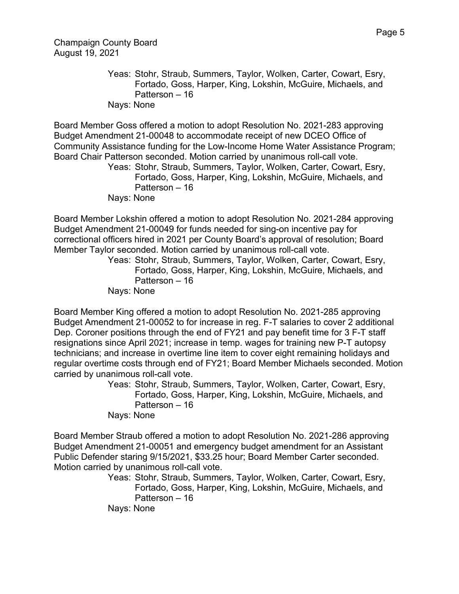Champaign County Board August 19, 2021

> Yeas: Stohr, Straub, Summers, Taylor, Wolken, Carter, Cowart, Esry, Fortado, Goss, Harper, King, Lokshin, McGuire, Michaels, and Patterson – 16 Nays: None

Board Member Goss offered a motion to adopt Resolution No. 2021-283 approving Budget Amendment 21-00048 to accommodate receipt of new DCEO Office of Community Assistance funding for the Low-Income Home Water Assistance Program; Board Chair Patterson seconded. Motion carried by unanimous roll-call vote.

Yeas: Stohr, Straub, Summers, Taylor, Wolken, Carter, Cowart, Esry, Fortado, Goss, Harper, King, Lokshin, McGuire, Michaels, and Patterson – 16

Nays: None

Board Member Lokshin offered a motion to adopt Resolution No. 2021-284 approving Budget Amendment 21-00049 for funds needed for sing-on incentive pay for correctional officers hired in 2021 per County Board's approval of resolution; Board Member Taylor seconded. Motion carried by unanimous roll-call vote.

Yeas: Stohr, Straub, Summers, Taylor, Wolken, Carter, Cowart, Esry, Fortado, Goss, Harper, King, Lokshin, McGuire, Michaels, and Patterson – 16

Nays: None

Board Member King offered a motion to adopt Resolution No. 2021-285 approving Budget Amendment 21-00052 to for increase in reg. F-T salaries to cover 2 additional Dep. Coroner positions through the end of FY21 and pay benefit time for 3 F-T staff resignations since April 2021; increase in temp. wages for training new P-T autopsy technicians; and increase in overtime line item to cover eight remaining holidays and regular overtime costs through end of FY21; Board Member Michaels seconded. Motion carried by unanimous roll-call vote.

> Yeas: Stohr, Straub, Summers, Taylor, Wolken, Carter, Cowart, Esry, Fortado, Goss, Harper, King, Lokshin, McGuire, Michaels, and Patterson – 16

Nays: None

Board Member Straub offered a motion to adopt Resolution No. 2021-286 approving Budget Amendment 21-00051 and emergency budget amendment for an Assistant Public Defender staring 9/15/2021, \$33.25 hour; Board Member Carter seconded. Motion carried by unanimous roll-call vote.

Yeas: Stohr, Straub, Summers, Taylor, Wolken, Carter, Cowart, Esry, Fortado, Goss, Harper, King, Lokshin, McGuire, Michaels, and Patterson – 16 Nays: None